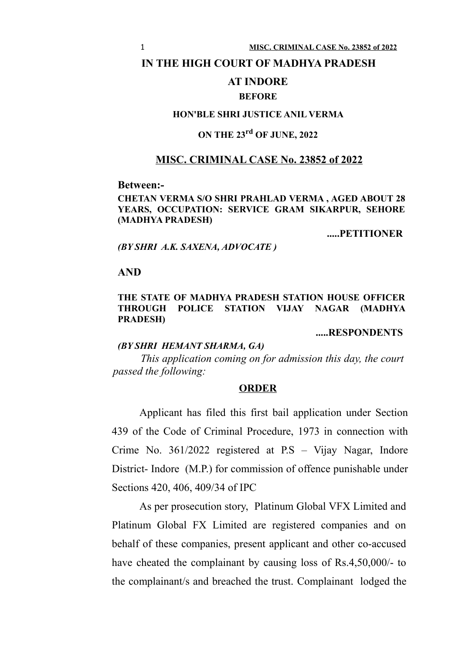#### **IN THE HIGH COURT OF MADHYA PRADESH**

### **AT INDORE**

#### **BEFORE**

### **HON'BLE SHRI JUSTICE ANIL VERMA**

# **ON THE 23rd OF JUNE, 2022**

## **MISC. CRIMINAL CASE No. 23852 of 2022**

#### **Between:-**

#### **CHETAN VERMA S/O SHRI PRAHLAD VERMA , AGED ABOUT 28 YEARS, OCCUPATION: SERVICE GRAM SIKARPUR, SEHORE (MADHYA PRADESH)**

**.....PETITIONER**

#### *(BY SHRI A.K. SAXENA, ADVOCATE )*

#### **AND**

#### **THE STATE OF MADHYA PRADESH STATION HOUSE OFFICER THROUGH POLICE STATION VIJAY NAGAR (MADHYA PRADESH)**

**.....RESPONDENTS**

## *(BY SHRI HEMANT SHARMA, GA)*

*This application coming on for admission this day, the court passed the following:*

#### **ORDER**

Applicant has filed this first bail application under Section 439 of the Code of Criminal Procedure, 1973 in connection with Crime No. 361/2022 registered at P.S – Vijay Nagar, Indore District- Indore (M.P.) for commission of offence punishable under Sections 420, 406, 409/34 of IPC

As per prosecution story, Platinum Global VFX Limited and Platinum Global FX Limited are registered companies and on behalf of these companies, present applicant and other co-accused have cheated the complainant by causing loss of Rs.4,50,000/- to the complainant/s and breached the trust. Complainant lodged the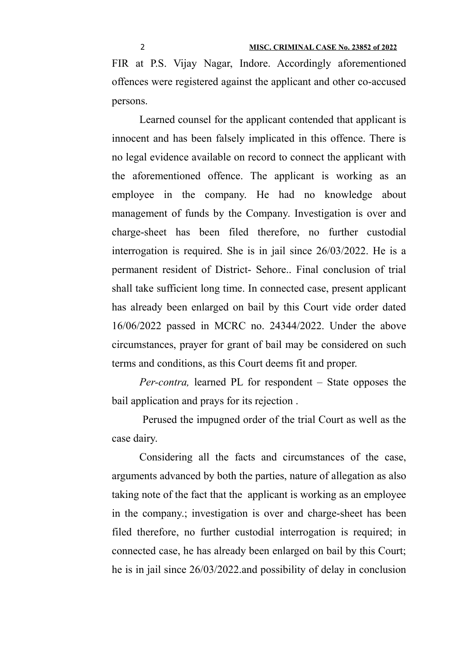FIR at P.S. Vijay Nagar, Indore. Accordingly aforementioned offences were registered against the applicant and other co-accused persons.

Learned counsel for the applicant contended that applicant is innocent and has been falsely implicated in this offence. There is no legal evidence available on record to connect the applicant with the aforementioned offence. The applicant is working as an employee in the company. He had no knowledge about management of funds by the Company. Investigation is over and charge-sheet has been filed therefore, no further custodial interrogation is required. She is in jail since 26/03/2022. He is a permanent resident of District- Sehore.. Final conclusion of trial shall take sufficient long time. In connected case, present applicant has already been enlarged on bail by this Court vide order dated 16/06/2022 passed in MCRC no. 24344/2022. Under the above circumstances, prayer for grant of bail may be considered on such terms and conditions, as this Court deems fit and proper.

*Per-contra,* learned PL for respondent – State opposes the bail application and prays for its rejection .

 Perused the impugned order of the trial Court as well as the case dairy.

Considering all the facts and circumstances of the case, arguments advanced by both the parties, nature of allegation as also taking note of the fact that the applicant is working as an employee in the company.; investigation is over and charge-sheet has been filed therefore, no further custodial interrogation is required; in connected case, he has already been enlarged on bail by this Court; he is in jail since 26/03/2022.and possibility of delay in conclusion